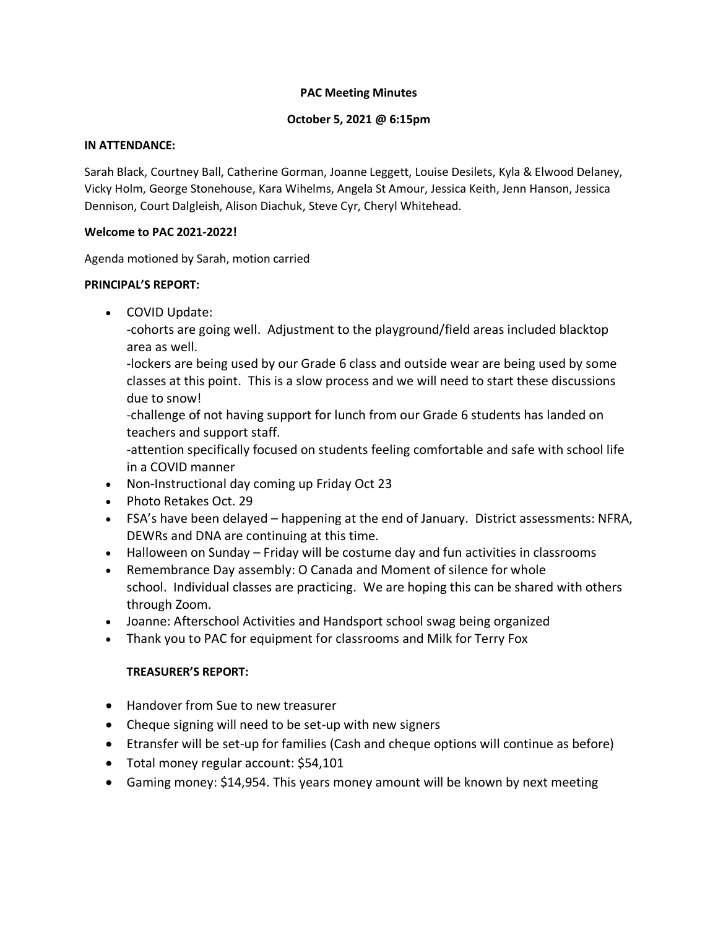### **PAC Meeting Minutes**

### **October 5, 2021 @ 6:15pm**

#### **IN ATTENDANCE:**

Sarah Black, Courtney Ball, Catherine Gorman, Joanne Leggett, Louise Desilets, Kyla & Elwood Delaney, Vicky Holm, George Stonehouse, Kara Wihelms, Angela St Amour, Jessica Keith, Jenn Hanson, Jessica Dennison, Court Dalgleish, Alison Diachuk, Steve Cyr, Cheryl Whitehead.

#### **Welcome to PAC 2021-2022!**

Agenda motioned by Sarah, motion carried

#### **PRINCIPAL'S REPORT:**

• COVID Update:

-cohorts are going well. Adjustment to the playground/field areas included blacktop area as well.

-lockers are being used by our Grade 6 class and outside wear are being used by some classes at this point. This is a slow process and we will need to start these discussions due to snow!

-challenge of not having support for lunch from our Grade 6 students has landed on teachers and support staff.

-attention specifically focused on students feeling comfortable and safe with school life in a COVID manner

- Non-Instructional day coming up Friday Oct 23
- Photo Retakes Oct. 29
- FSA's have been delayed happening at the end of January. District assessments: NFRA, DEWRs and DNA are continuing at this time.
- Halloween on Sunday Friday will be costume day and fun activities in classrooms
- Remembrance Day assembly: O Canada and Moment of silence for whole school. Individual classes are practicing. We are hoping this can be shared with others through Zoom.
- Joanne: Afterschool Activities and Handsport school swag being organized
- Thank you to PAC for equipment for classrooms and Milk for Terry Fox

### **TREASURER'S REPORT:**

- Handover from Sue to new treasurer
- Cheque signing will need to be set-up with new signers
- Etransfer will be set-up for families (Cash and cheque options will continue as before)
- Total money regular account: \$54,101
- Gaming money: \$14,954. This years money amount will be known by next meeting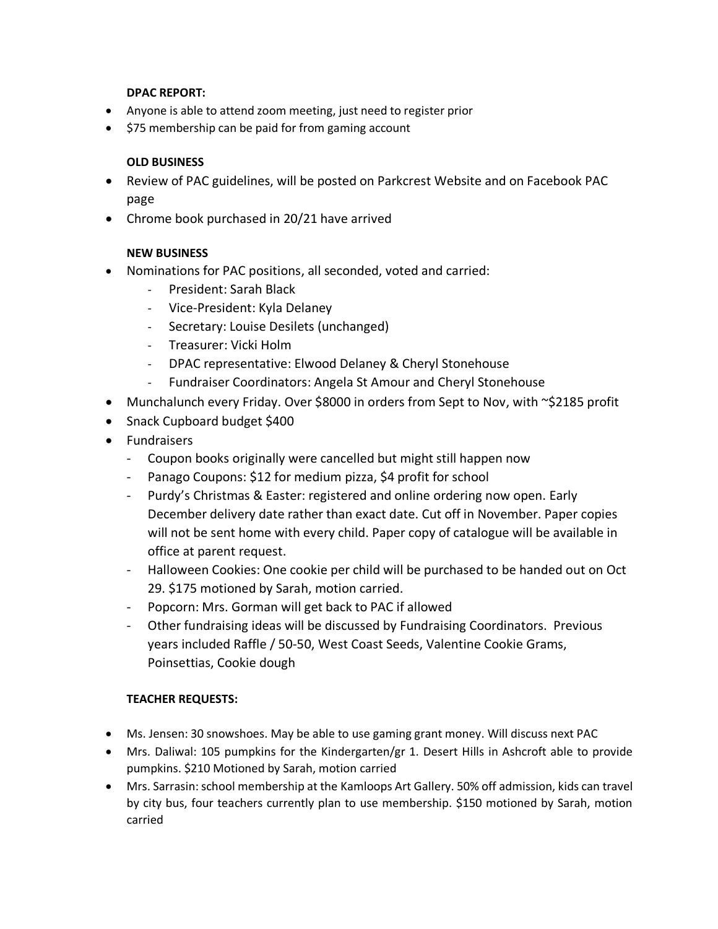### **DPAC REPORT:**

- Anyone is able to attend zoom meeting, just need to register prior
- \$75 membership can be paid for from gaming account

## **OLD BUSINESS**

- Review of PAC guidelines, will be posted on Parkcrest Website and on Facebook PAC page
- Chrome book purchased in 20/21 have arrived

## **NEW BUSINESS**

- Nominations for PAC positions, all seconded, voted and carried:
	- President: Sarah Black
	- Vice-President: Kyla Delaney
	- Secretary: Louise Desilets (unchanged)
	- Treasurer: Vicki Holm
	- DPAC representative: Elwood Delaney & Cheryl Stonehouse
	- Fundraiser Coordinators: Angela St Amour and Cheryl Stonehouse
- Munchalunch every Friday. Over \$8000 in orders from Sept to Nov, with ~\$2185 profit
- Snack Cupboard budget \$400
- Fundraisers
	- Coupon books originally were cancelled but might still happen now
	- Panago Coupons: \$12 for medium pizza, \$4 profit for school
	- Purdy's Christmas & Easter: registered and online ordering now open. Early December delivery date rather than exact date. Cut off in November. Paper copies will not be sent home with every child. Paper copy of catalogue will be available in office at parent request.
	- Halloween Cookies: One cookie per child will be purchased to be handed out on Oct 29. \$175 motioned by Sarah, motion carried.
	- Popcorn: Mrs. Gorman will get back to PAC if allowed
	- Other fundraising ideas will be discussed by Fundraising Coordinators. Previous years included Raffle / 50-50, West Coast Seeds, Valentine Cookie Grams, Poinsettias, Cookie dough

# **TEACHER REQUESTS:**

- Ms. Jensen: 30 snowshoes. May be able to use gaming grant money. Will discuss next PAC
- Mrs. Daliwal: 105 pumpkins for the Kindergarten/gr 1. Desert Hills in Ashcroft able to provide pumpkins. \$210 Motioned by Sarah, motion carried
- Mrs. Sarrasin: school membership at the Kamloops Art Gallery. 50% off admission, kids can travel by city bus, four teachers currently plan to use membership. \$150 motioned by Sarah, motion carried